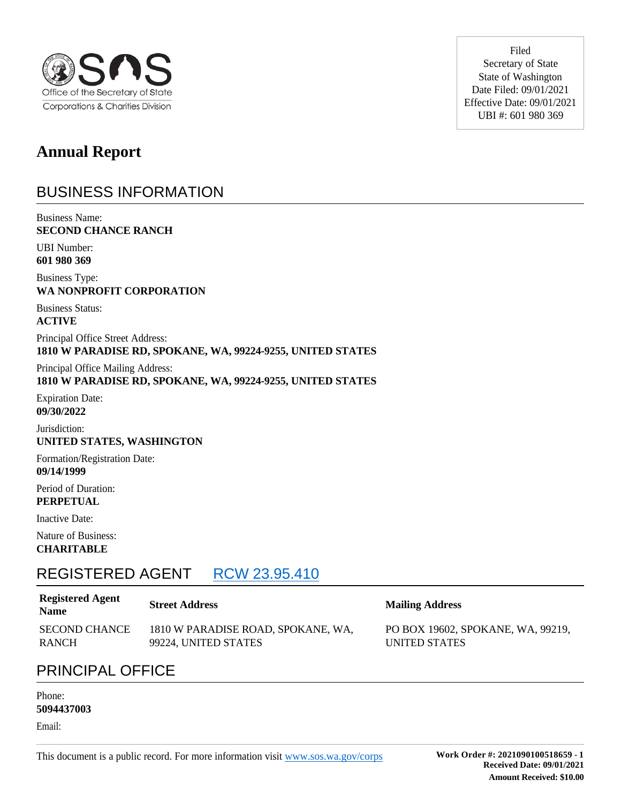

**Annual Report** 

## BUSINESS INFORMATION

Business Name: **SECOND CHANCE RANCH**

UBI Number: **601 980 369**

Business Type: **WA NONPROFIT CORPORATION**

Business Status: **ACTIVE**

Principal Office Street Address: **1810 W PARADISE RD, SPOKANE, WA, 99224-9255, UNITED STATES**

Principal Office Mailing Address: **1810 W PARADISE RD, SPOKANE, WA, 99224-9255, UNITED STATES**

Expiration Date: **09/30/2022**

Jurisdiction: **UNITED STATES, WASHINGTON**

Formation/Registration Date: **09/14/1999**

Period of Duration: **PERPETUAL**

Inactive Date:

Nature of Business: **CHARITABLE**

## REGISTERED AGENT RCW 23.95.410

### **Registered Agent**

SECOND CHANCE RANCH 1810 W PARADISE ROAD, SPOKANE, WA, 99224, UNITED STATES

Filed Secretary of State State of Washington Date Filed: 09/01/2021 Effective Date: 09/01/2021 UBI #: 601 980 369

### **Name Street Address Mailing Address**

PO BOX 19602, SPOKANE, WA, 99219, UNITED STATES

## PRINCIPAL OFFICE

#### Phone: **5094437003**

Email: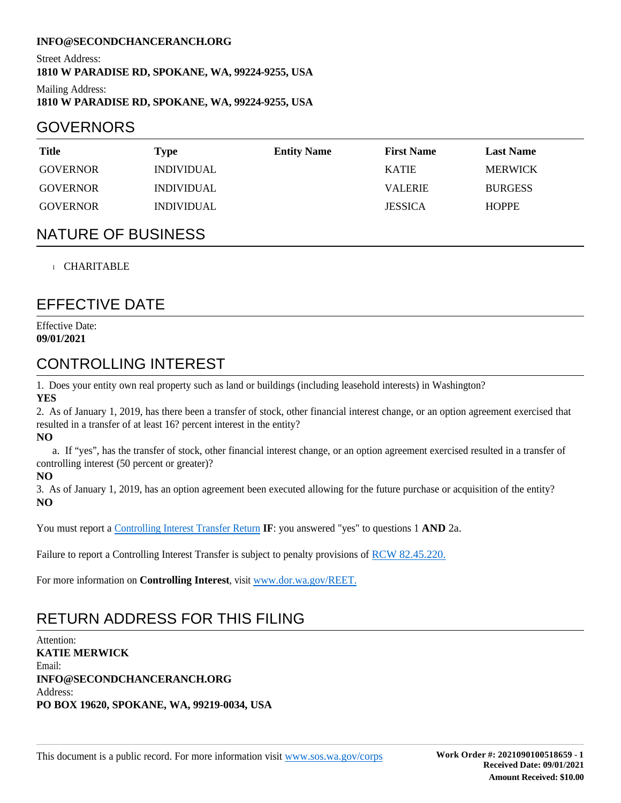#### **INFO@SECONDCHANCERANCH.ORG**

Street Address: **1810 W PARADISE RD, SPOKANE, WA, 99224-9255, USA**

Mailing Address: **1810 W PARADISE RD, SPOKANE, WA, 99224-9255, USA**

### GOVERNORS

| <b>Title</b>    | Type                     | <b>Entity Name</b> | <b>First Name</b> | <b>Last Name</b> |
|-----------------|--------------------------|--------------------|-------------------|------------------|
| <b>GOVERNOR</b> | <i>INDIVIDUAL</i>        |                    | <b>KATIE</b>      | <b>MERWICK</b>   |
| <b>GOVERNOR</b> | <i><b>INDIVIDUAL</b></i> |                    | <b>VALERIE</b>    | <b>BURGESS</b>   |
| <b>GOVERNOR</b> | <i><b>INDIVIDUAL</b></i> |                    | <b>JESSICA</b>    | <b>HOPPE</b>     |

### NATURE OF BUSINESS

#### CHARITABLE

### EFFECTIVE DATE

Effective Date: **09/01/2021**

### CONTROLLING INTEREST

1. Does your entity own real property such as land or buildings (including leasehold interests) in Washington? **YES**

2. As of January 1, 2019, has there been a transfer of stock, other financial interest change, or an option agreement exercised that resulted in a transfer of at least 16? percent interest in the entity?

**NO**

 a. If "yes", has the transfer of stock, other financial interest change, or an option agreement exercised resulted in a transfer of controlling interest (50 percent or greater)?

**NO**

3. As of January 1, 2019, has an option agreement been executed allowing for the future purchase or acquisition of the entity? **NO**

You must report a Controlling Interest Transfer Return **IF**: you answered "yes" to questions 1 **AND** 2a.

Failure to report a Controlling Interest Transfer is subject to penalty provisions of RCW 82.45.220.

For more information on **Controlling Interest**, visit www.dor.wa.gov/REET.

## RETURN ADDRESS FOR THIS FILING

Attention: **KATIE MERWICK** Email: **INFO@SECONDCHANCERANCH.ORG** Address: **PO BOX 19620, SPOKANE, WA, 99219-0034, USA**